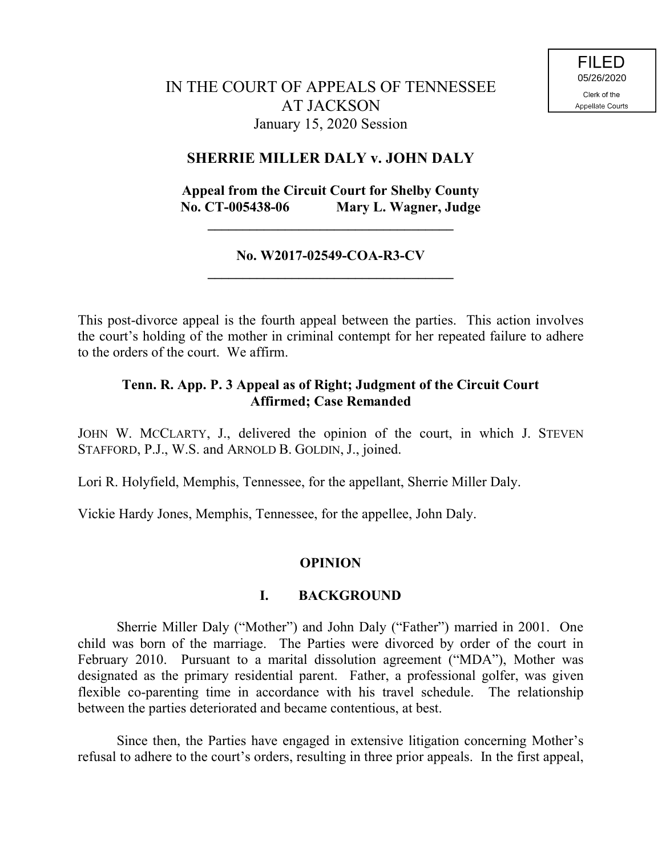### **SHERRIE MILLER DALY v. JOHN DALY**

# **Appeal from the Circuit Court for Shelby County No. CT-005438-06 Mary L. Wagner, Judge**

**\_\_\_\_\_\_\_\_\_\_\_\_\_\_\_\_\_\_\_\_\_\_\_\_\_\_\_\_\_\_\_\_\_\_\_**

#### **No. W2017-02549-COA-R3-CV \_\_\_\_\_\_\_\_\_\_\_\_\_\_\_\_\_\_\_\_\_\_\_\_\_\_\_\_\_\_\_\_\_\_\_**

This post-divorce appeal is the fourth appeal between the parties. This action involves the court's holding of the mother in criminal contempt for her repeated failure to adhere to the orders of the court. We affirm.

## **Tenn. R. App. P. 3 Appeal as of Right; Judgment of the Circuit Court Affirmed; Case Remanded**

JOHN W. MCCLARTY, J., delivered the opinion of the court, in which J. STEVEN STAFFORD, P.J., W.S. and ARNOLD B. GOLDIN, J., joined.

Lori R. Holyfield, Memphis, Tennessee, for the appellant, Sherrie Miller Daly.

Vickie Hardy Jones, Memphis, Tennessee, for the appellee, John Daly.

#### **OPINION**

## **I. BACKGROUND**

Sherrie Miller Daly ("Mother") and John Daly ("Father") married in 2001. One child was born of the marriage. The Parties were divorced by order of the court in February 2010. Pursuant to a marital dissolution agreement ("MDA"), Mother was designated as the primary residential parent. Father, a professional golfer, was given flexible co-parenting time in accordance with his travel schedule. The relationship between the parties deteriorated and became contentious, at best.

Since then, the Parties have engaged in extensive litigation concerning Mother's refusal to adhere to the court's orders, resulting in three prior appeals. In the first appeal,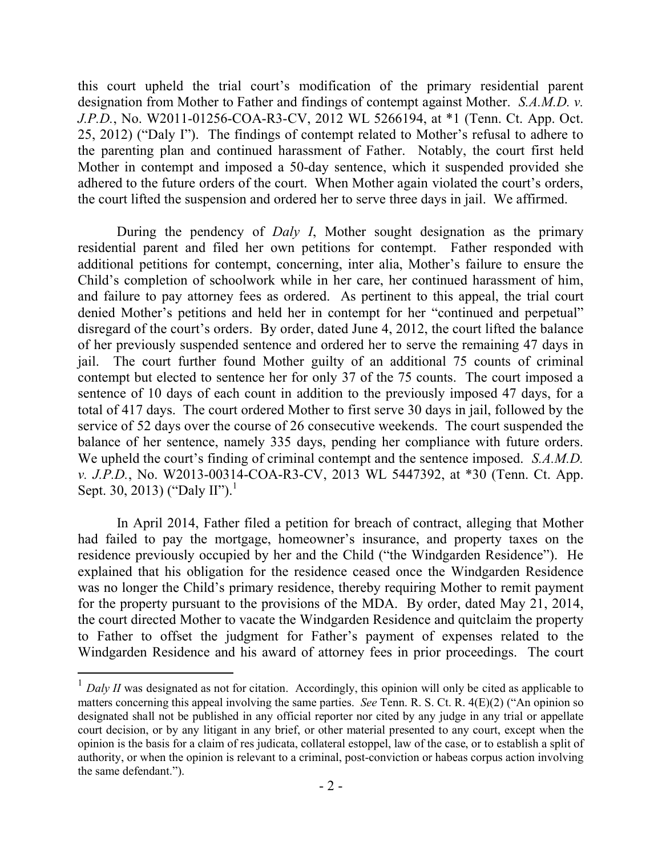this court upheld the trial court's modification of the primary residential parent designation from Mother to Father and findings of contempt against Mother. *S.A.M.D. v. J.P.D.*, No. W2011-01256-COA-R3-CV, 2012 WL 5266194, at \*1 (Tenn. Ct. App. Oct. 25, 2012) ("Daly I"). The findings of contempt related to Mother's refusal to adhere to the parenting plan and continued harassment of Father. Notably, the court first held Mother in contempt and imposed a 50-day sentence, which it suspended provided she adhered to the future orders of the court. When Mother again violated the court's orders, the court lifted the suspension and ordered her to serve three days in jail. We affirmed.

During the pendency of *Daly I*, Mother sought designation as the primary residential parent and filed her own petitions for contempt. Father responded with additional petitions for contempt, concerning, inter alia, Mother's failure to ensure the Child's completion of schoolwork while in her care, her continued harassment of him, and failure to pay attorney fees as ordered. As pertinent to this appeal, the trial court denied Mother's petitions and held her in contempt for her "continued and perpetual" disregard of the court's orders. By order, dated June 4, 2012, the court lifted the balance of her previously suspended sentence and ordered her to serve the remaining 47 days in jail. The court further found Mother guilty of an additional 75 counts of criminal contempt but elected to sentence her for only 37 of the 75 counts. The court imposed a sentence of 10 days of each count in addition to the previously imposed 47 days, for a total of 417 days. The court ordered Mother to first serve 30 days in jail, followed by the service of 52 days over the course of 26 consecutive weekends. The court suspended the balance of her sentence, namely 335 days, pending her compliance with future orders. We upheld the court's finding of criminal contempt and the sentence imposed. *S.A.M.D. v. J.P.D.*, No. W2013-00314-COA-R3-CV, 2013 WL 5447392, at \*30 (Tenn. Ct. App. Sept. 30, 2013) ("Daly II").<sup>1</sup>

In April 2014, Father filed a petition for breach of contract, alleging that Mother had failed to pay the mortgage, homeowner's insurance, and property taxes on the residence previously occupied by her and the Child ("the Windgarden Residence"). He explained that his obligation for the residence ceased once the Windgarden Residence was no longer the Child's primary residence, thereby requiring Mother to remit payment for the property pursuant to the provisions of the MDA. By order, dated May 21, 2014, the court directed Mother to vacate the Windgarden Residence and quitclaim the property to Father to offset the judgment for Father's payment of expenses related to the Windgarden Residence and his award of attorney fees in prior proceedings. The court

 $\overline{a}$ 

 $<sup>1</sup>$  *Daly II* was designated as not for citation. Accordingly, this opinion will only be cited as applicable to</sup> matters concerning this appeal involving the same parties. *See* Tenn. R. S. Ct. R. 4(E)(2) ("An opinion so designated shall not be published in any official reporter nor cited by any judge in any trial or appellate court decision, or by any litigant in any brief, or other material presented to any court, except when the opinion is the basis for a claim of res judicata, collateral estoppel, law of the case, or to establish a split of authority, or when the opinion is relevant to a criminal, post-conviction or habeas corpus action involving the same defendant.").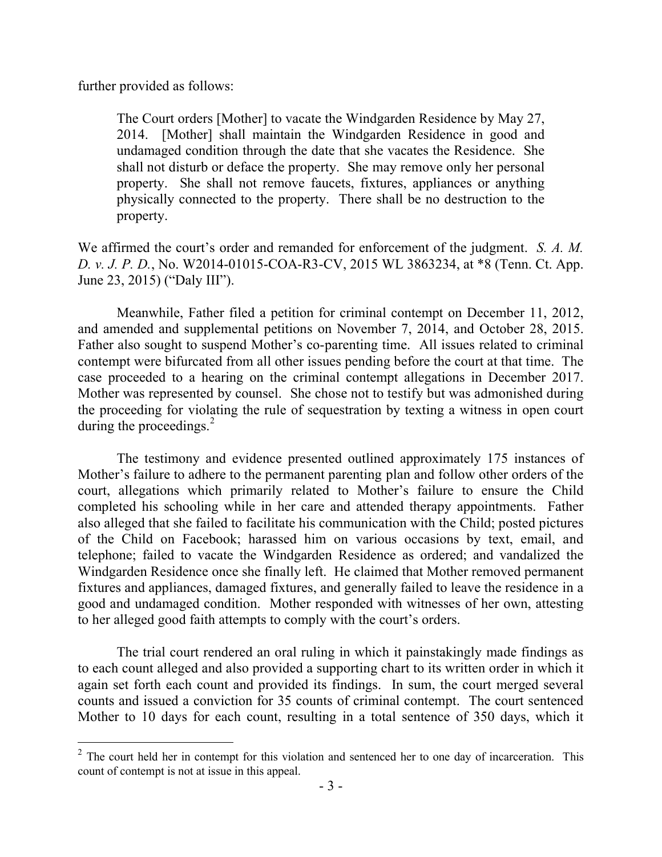further provided as follows:

 $\overline{a}$ 

The Court orders [Mother] to vacate the Windgarden Residence by May 27, 2014. [Mother] shall maintain the Windgarden Residence in good and undamaged condition through the date that she vacates the Residence. She shall not disturb or deface the property. She may remove only her personal property. She shall not remove faucets, fixtures, appliances or anything physically connected to the property. There shall be no destruction to the property.

We affirmed the court's order and remanded for enforcement of the judgment. *S. A. M. D. v. J. P. D.*, No. W2014-01015-COA-R3-CV, 2015 WL 3863234, at \*8 (Tenn. Ct. App. June 23, 2015) ("Daly III").

Meanwhile, Father filed a petition for criminal contempt on December 11, 2012, and amended and supplemental petitions on November 7, 2014, and October 28, 2015. Father also sought to suspend Mother's co-parenting time. All issues related to criminal contempt were bifurcated from all other issues pending before the court at that time. The case proceeded to a hearing on the criminal contempt allegations in December 2017. Mother was represented by counsel. She chose not to testify but was admonished during the proceeding for violating the rule of sequestration by texting a witness in open court during the proceedings.<sup>2</sup>

The testimony and evidence presented outlined approximately 175 instances of Mother's failure to adhere to the permanent parenting plan and follow other orders of the court, allegations which primarily related to Mother's failure to ensure the Child completed his schooling while in her care and attended therapy appointments. Father also alleged that she failed to facilitate his communication with the Child; posted pictures of the Child on Facebook; harassed him on various occasions by text, email, and telephone; failed to vacate the Windgarden Residence as ordered; and vandalized the Windgarden Residence once she finally left. He claimed that Mother removed permanent fixtures and appliances, damaged fixtures, and generally failed to leave the residence in a good and undamaged condition. Mother responded with witnesses of her own, attesting to her alleged good faith attempts to comply with the court's orders.

The trial court rendered an oral ruling in which it painstakingly made findings as to each count alleged and also provided a supporting chart to its written order in which it again set forth each count and provided its findings. In sum, the court merged several counts and issued a conviction for 35 counts of criminal contempt. The court sentenced Mother to 10 days for each count, resulting in a total sentence of 350 days, which it

 $2^2$  The court held her in contempt for this violation and sentenced her to one day of incarceration. This count of contempt is not at issue in this appeal.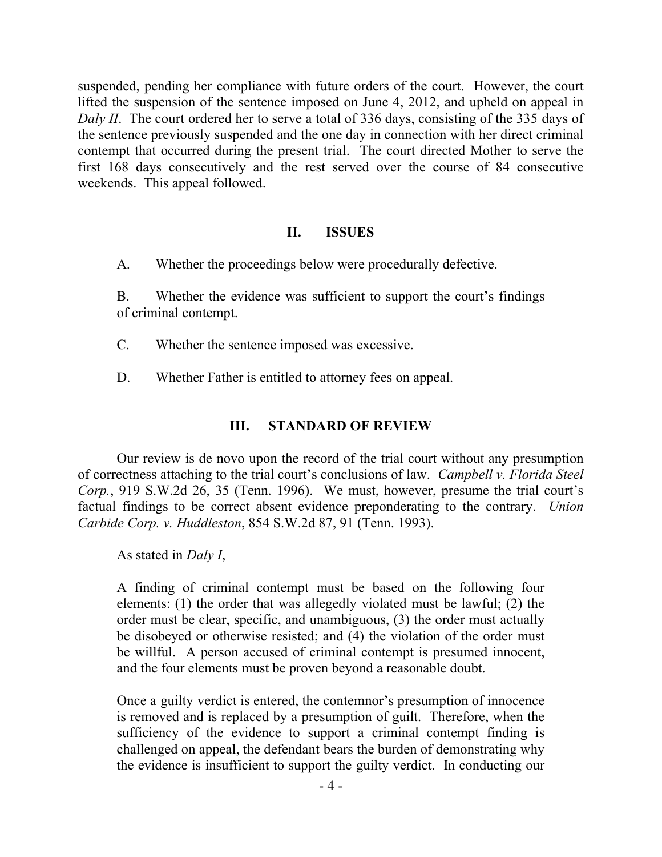suspended, pending her compliance with future orders of the court. However, the court lifted the suspension of the sentence imposed on June 4, 2012, and upheld on appeal in *Daly II.* The court ordered her to serve a total of 336 days, consisting of the 335 days of the sentence previously suspended and the one day in connection with her direct criminal contempt that occurred during the present trial. The court directed Mother to serve the first 168 days consecutively and the rest served over the course of 84 consecutive weekends. This appeal followed.

#### **II. ISSUES**

A. Whether the proceedings below were procedurally defective.

B. Whether the evidence was sufficient to support the court's findings of criminal contempt.

- C. Whether the sentence imposed was excessive.
- D. Whether Father is entitled to attorney fees on appeal.

## **III. STANDARD OF REVIEW**

Our review is de novo upon the record of the trial court without any presumption of correctness attaching to the trial court's conclusions of law. *Campbell v. Florida Steel Corp.*, 919 S.W.2d 26, 35 (Tenn. 1996). We must, however, presume the trial court's factual findings to be correct absent evidence preponderating to the contrary. *Union Carbide Corp. v. Huddleston*, 854 S.W.2d 87, 91 (Tenn. 1993).

As stated in *Daly I*,

A finding of criminal contempt must be based on the following four elements: (1) the order that was allegedly violated must be lawful; (2) the order must be clear, specific, and unambiguous, (3) the order must actually be disobeyed or otherwise resisted; and (4) the violation of the order must be willful. A person accused of criminal contempt is presumed innocent, and the four elements must be proven beyond a reasonable doubt.

Once a guilty verdict is entered, the contemnor's presumption of innocence is removed and is replaced by a presumption of guilt. Therefore, when the sufficiency of the evidence to support a criminal contempt finding is challenged on appeal, the defendant bears the burden of demonstrating why the evidence is insufficient to support the guilty verdict. In conducting our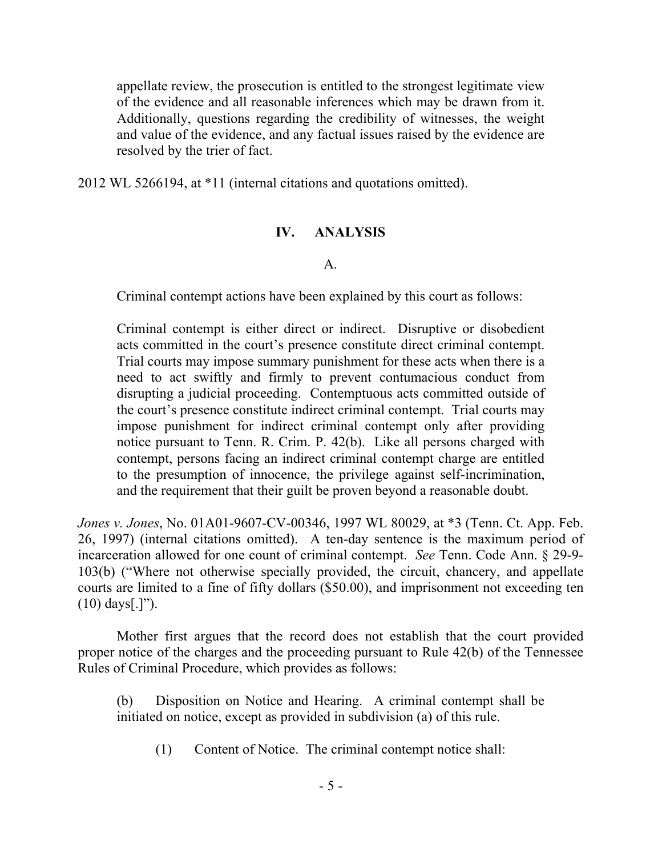appellate review, the prosecution is entitled to the strongest legitimate view of the evidence and all reasonable inferences which may be drawn from it. Additionally, questions regarding the credibility of witnesses, the weight and value of the evidence, and any factual issues raised by the evidence are resolved by the trier of fact.

2012 WL 5266194, at \*11 (internal citations and quotations omitted).

#### **IV. ANALYSIS**

#### A.

Criminal contempt actions have been explained by this court as follows:

Criminal contempt is either direct or indirect. Disruptive or disobedient acts committed in the court's presence constitute direct criminal contempt. Trial courts may impose summary punishment for these acts when there is a need to act swiftly and firmly to prevent contumacious conduct from disrupting a judicial proceeding. Contemptuous acts committed outside of the court's presence constitute indirect criminal contempt. Trial courts may impose punishment for indirect criminal contempt only after providing notice pursuant to Tenn. R. Crim. P. 42(b). Like all persons charged with contempt, persons facing an indirect criminal contempt charge are entitled to the presumption of innocence, the privilege against self-incrimination, and the requirement that their guilt be proven beyond a reasonable doubt.

*Jones v. Jones*, No. 01A01-9607-CV-00346, 1997 WL 80029, at \*3 (Tenn. Ct. App. Feb. 26, 1997) (internal citations omitted). A ten-day sentence is the maximum period of incarceration allowed for one count of criminal contempt. *See* Tenn. Code Ann. § 29-9- 103(b) ("Where not otherwise specially provided, the circuit, chancery, and appellate courts are limited to a fine of fifty dollars (\$50.00), and imprisonment not exceeding ten (10) days[.]").

Mother first argues that the record does not establish that the court provided proper notice of the charges and the proceeding pursuant to Rule 42(b) of the Tennessee Rules of Criminal Procedure, which provides as follows:

(b) Disposition on Notice and Hearing. A criminal contempt shall be initiated on notice, except as provided in subdivision (a) of this rule.

(1) Content of Notice. The criminal contempt notice shall: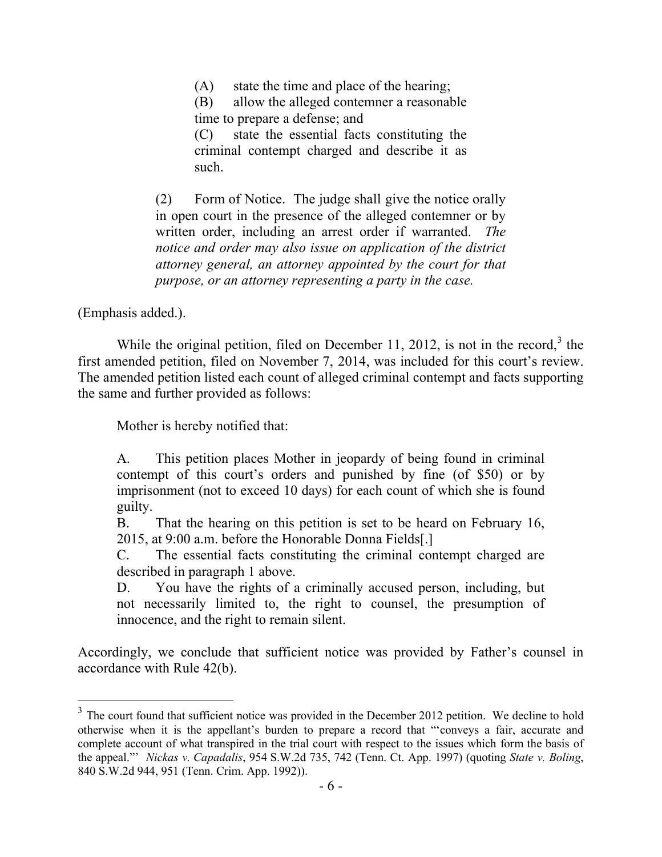(A) state the time and place of the hearing;

(B) allow the alleged contemner a reasonable time to prepare a defense; and

(C) state the essential facts constituting the criminal contempt charged and describe it as such.

(2) Form of Notice. The judge shall give the notice orally in open court in the presence of the alleged contemner or by written order, including an arrest order if warranted. *The notice and order may also issue on application of the district attorney general, an attorney appointed by the court for that purpose, or an attorney representing a party in the case.*

(Emphasis added.).

 $\overline{a}$ 

While the original petition, filed on December 11, 2012, is not in the record, $3$  the first amended petition, filed on November 7, 2014, was included for this court's review. The amended petition listed each count of alleged criminal contempt and facts supporting the same and further provided as follows:

Mother is hereby notified that:

A. This petition places Mother in jeopardy of being found in criminal contempt of this court's orders and punished by fine (of \$50) or by imprisonment (not to exceed 10 days) for each count of which she is found guilty.

B. That the hearing on this petition is set to be heard on February 16, 2015, at 9:00 a.m. before the Honorable Donna Fields[.]

C. The essential facts constituting the criminal contempt charged are described in paragraph 1 above.

D. You have the rights of a criminally accused person, including, but not necessarily limited to, the right to counsel, the presumption of innocence, and the right to remain silent.

Accordingly, we conclude that sufficient notice was provided by Father's counsel in accordance with Rule 42(b).

 $3$  The court found that sufficient notice was provided in the December 2012 petition. We decline to hold otherwise when it is the appellant's burden to prepare a record that "'conveys a fair, accurate and complete account of what transpired in the trial court with respect to the issues which form the basis of the appeal."' *Nickas v. Capadalis*, 954 S.W.2d 735, 742 (Tenn. Ct. App. 1997) (quoting *State v. Boling*, 840 S.W.2d 944, 951 (Tenn. Crim. App. 1992)).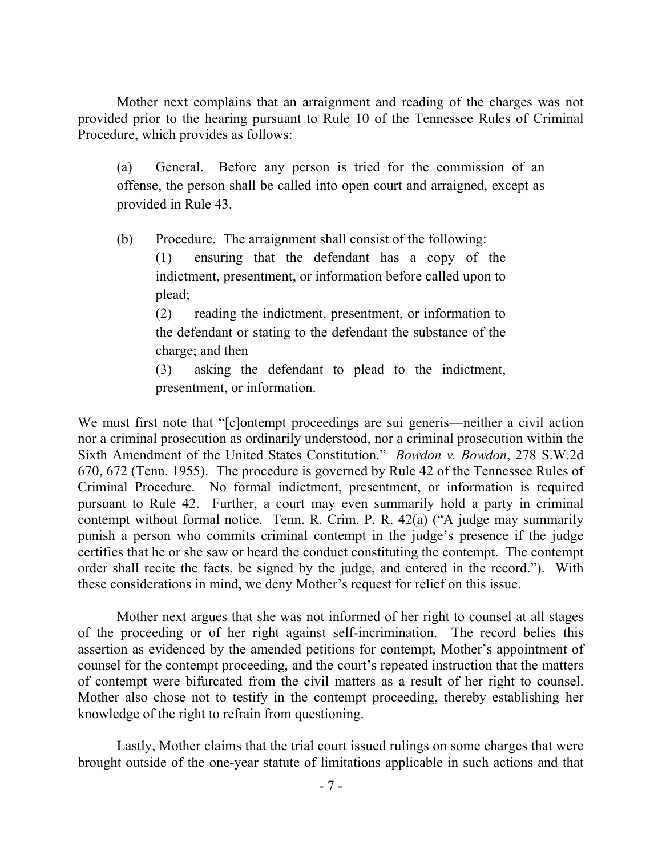Mother next complains that an arraignment and reading of the charges was not provided prior to the hearing pursuant to Rule 10 of the Tennessee Rules of Criminal Procedure, which provides as follows:

(a) General. Before any person is tried for the commission of an offense, the person shall be called into open court and arraigned, except as provided in Rule 43.

(b) Procedure. The arraignment shall consist of the following:

(1) ensuring that the defendant has a copy of the indictment, presentment, or information before called upon to plead;

(2) reading the indictment, presentment, or information to the defendant or stating to the defendant the substance of the charge; and then

(3) asking the defendant to plead to the indictment, presentment, or information.

We must first note that "[c]ontempt proceedings are sui generis—neither a civil action nor a criminal prosecution as ordinarily understood, nor a criminal prosecution within the Sixth Amendment of the United States Constitution." *Bowdon v. Bowdon*, 278 S.W.2d 670, 672 (Tenn. 1955). The procedure is governed by Rule 42 of the Tennessee Rules of Criminal Procedure. No formal indictment, presentment, or information is required pursuant to Rule 42. Further, a court may even summarily hold a party in criminal contempt without formal notice. Tenn. R. Crim. P. R. 42(a) ("A judge may summarily punish a person who commits criminal contempt in the judge's presence if the judge certifies that he or she saw or heard the conduct constituting the contempt. The contempt order shall recite the facts, be signed by the judge, and entered in the record."). With these considerations in mind, we deny Mother's request for relief on this issue.

Mother next argues that she was not informed of her right to counsel at all stages of the proceeding or of her right against self-incrimination. The record belies this assertion as evidenced by the amended petitions for contempt, Mother's appointment of counsel for the contempt proceeding, and the court's repeated instruction that the matters of contempt were bifurcated from the civil matters as a result of her right to counsel. Mother also chose not to testify in the contempt proceeding, thereby establishing her knowledge of the right to refrain from questioning.

Lastly, Mother claims that the trial court issued rulings on some charges that were brought outside of the one-year statute of limitations applicable in such actions and that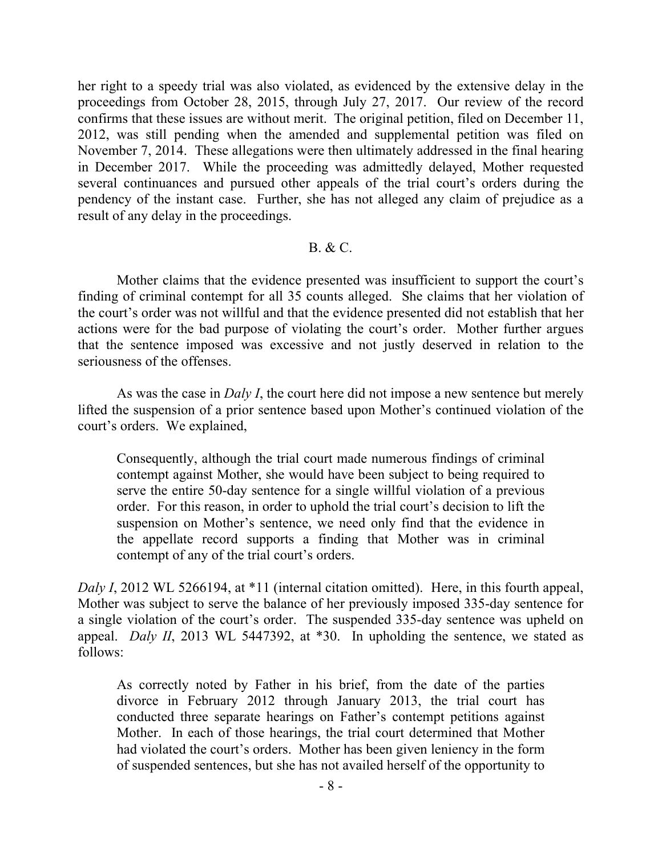her right to a speedy trial was also violated, as evidenced by the extensive delay in the proceedings from October 28, 2015, through July 27, 2017. Our review of the record confirms that these issues are without merit. The original petition, filed on December 11, 2012, was still pending when the amended and supplemental petition was filed on November 7, 2014. These allegations were then ultimately addressed in the final hearing in December 2017. While the proceeding was admittedly delayed, Mother requested several continuances and pursued other appeals of the trial court's orders during the pendency of the instant case. Further, she has not alleged any claim of prejudice as a result of any delay in the proceedings.

#### B. & C.

Mother claims that the evidence presented was insufficient to support the court's finding of criminal contempt for all 35 counts alleged. She claims that her violation of the court's order was not willful and that the evidence presented did not establish that her actions were for the bad purpose of violating the court's order. Mother further argues that the sentence imposed was excessive and not justly deserved in relation to the seriousness of the offenses.

As was the case in *Daly I*, the court here did not impose a new sentence but merely lifted the suspension of a prior sentence based upon Mother's continued violation of the court's orders. We explained,

Consequently, although the trial court made numerous findings of criminal contempt against Mother, she would have been subject to being required to serve the entire 50-day sentence for a single willful violation of a previous order. For this reason, in order to uphold the trial court's decision to lift the suspension on Mother's sentence, we need only find that the evidence in the appellate record supports a finding that Mother was in criminal contempt of any of the trial court's orders.

*Daly I*, 2012 WL 5266194, at \*11 (internal citation omitted). Here, in this fourth appeal, Mother was subject to serve the balance of her previously imposed 335-day sentence for a single violation of the court's order. The suspended 335-day sentence was upheld on appeal. *Daly II*, 2013 WL 5447392, at \*30. In upholding the sentence, we stated as follows:

As correctly noted by Father in his brief, from the date of the parties divorce in February 2012 through January 2013, the trial court has conducted three separate hearings on Father's contempt petitions against Mother. In each of those hearings, the trial court determined that Mother had violated the court's orders. Mother has been given leniency in the form of suspended sentences, but she has not availed herself of the opportunity to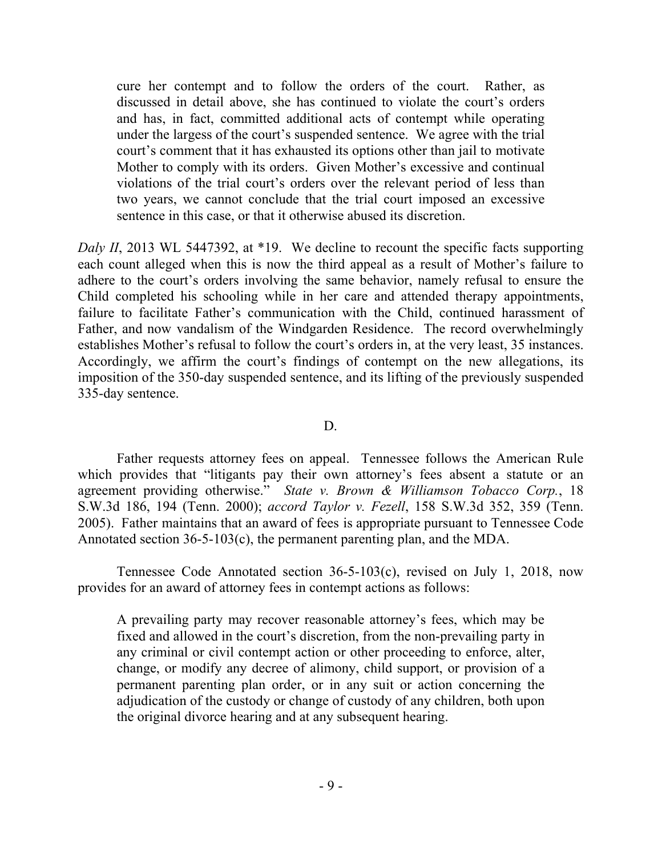cure her contempt and to follow the orders of the court. Rather, as discussed in detail above, she has continued to violate the court's orders and has, in fact, committed additional acts of contempt while operating under the largess of the court's suspended sentence. We agree with the trial court's comment that it has exhausted its options other than jail to motivate Mother to comply with its orders. Given Mother's excessive and continual violations of the trial court's orders over the relevant period of less than two years, we cannot conclude that the trial court imposed an excessive sentence in this case, or that it otherwise abused its discretion.

*Daly II*, 2013 WL 5447392, at \*19. We decline to recount the specific facts supporting each count alleged when this is now the third appeal as a result of Mother's failure to adhere to the court's orders involving the same behavior, namely refusal to ensure the Child completed his schooling while in her care and attended therapy appointments, failure to facilitate Father's communication with the Child, continued harassment of Father, and now vandalism of the Windgarden Residence. The record overwhelmingly establishes Mother's refusal to follow the court's orders in, at the very least, 35 instances. Accordingly, we affirm the court's findings of contempt on the new allegations, its imposition of the 350-day suspended sentence, and its lifting of the previously suspended 335-day sentence.

D.

Father requests attorney fees on appeal. Tennessee follows the American Rule which provides that "litigants pay their own attorney's fees absent a statute or an agreement providing otherwise." *State v. Brown & Williamson Tobacco Corp.*, 18 S.W.3d 186, 194 (Tenn. 2000); *accord Taylor v. Fezell*, 158 S.W.3d 352, 359 (Tenn. 2005). Father maintains that an award of fees is appropriate pursuant to Tennessee Code Annotated section 36-5-103(c), the permanent parenting plan, and the MDA.

Tennessee Code Annotated section 36-5-103(c), revised on July 1, 2018, now provides for an award of attorney fees in contempt actions as follows:

A prevailing party may recover reasonable attorney's fees, which may be fixed and allowed in the court's discretion, from the non-prevailing party in any criminal or civil contempt action or other proceeding to enforce, alter, change, or modify any decree of alimony, child support, or provision of a permanent parenting plan order, or in any suit or action concerning the adjudication of the custody or change of custody of any children, both upon the original divorce hearing and at any subsequent hearing.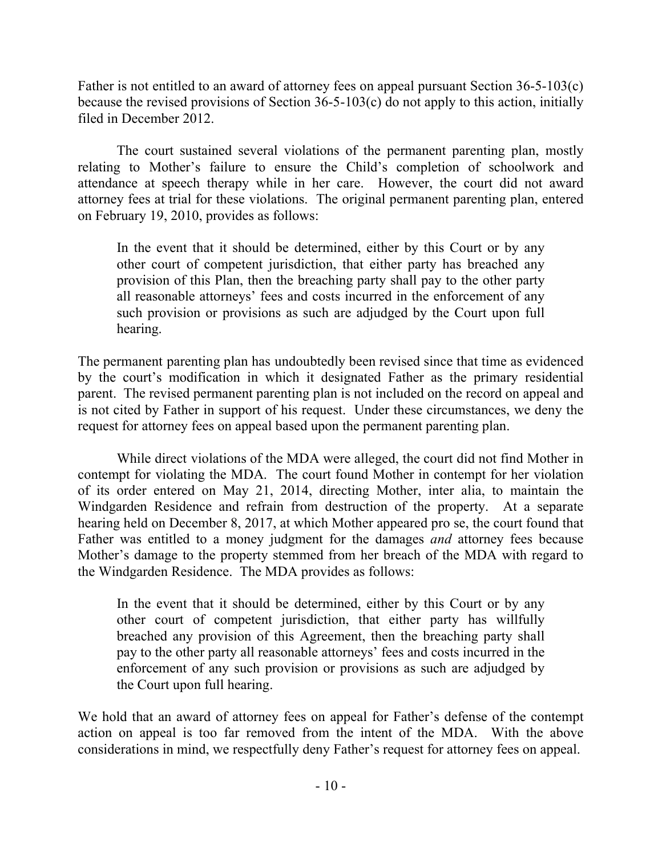Father is not entitled to an award of attorney fees on appeal pursuant Section 36-5-103(c) because the revised provisions of Section 36-5-103(c) do not apply to this action, initially filed in December 2012.

The court sustained several violations of the permanent parenting plan, mostly relating to Mother's failure to ensure the Child's completion of schoolwork and attendance at speech therapy while in her care. However, the court did not award attorney fees at trial for these violations. The original permanent parenting plan, entered on February 19, 2010, provides as follows:

In the event that it should be determined, either by this Court or by any other court of competent jurisdiction, that either party has breached any provision of this Plan, then the breaching party shall pay to the other party all reasonable attorneys' fees and costs incurred in the enforcement of any such provision or provisions as such are adjudged by the Court upon full hearing.

The permanent parenting plan has undoubtedly been revised since that time as evidenced by the court's modification in which it designated Father as the primary residential parent. The revised permanent parenting plan is not included on the record on appeal and is not cited by Father in support of his request. Under these circumstances, we deny the request for attorney fees on appeal based upon the permanent parenting plan.

While direct violations of the MDA were alleged, the court did not find Mother in contempt for violating the MDA. The court found Mother in contempt for her violation of its order entered on May 21, 2014, directing Mother, inter alia, to maintain the Windgarden Residence and refrain from destruction of the property. At a separate hearing held on December 8, 2017, at which Mother appeared pro se, the court found that Father was entitled to a money judgment for the damages *and* attorney fees because Mother's damage to the property stemmed from her breach of the MDA with regard to the Windgarden Residence. The MDA provides as follows:

In the event that it should be determined, either by this Court or by any other court of competent jurisdiction, that either party has willfully breached any provision of this Agreement, then the breaching party shall pay to the other party all reasonable attorneys' fees and costs incurred in the enforcement of any such provision or provisions as such are adjudged by the Court upon full hearing.

We hold that an award of attorney fees on appeal for Father's defense of the contempt action on appeal is too far removed from the intent of the MDA. With the above considerations in mind, we respectfully deny Father's request for attorney fees on appeal.